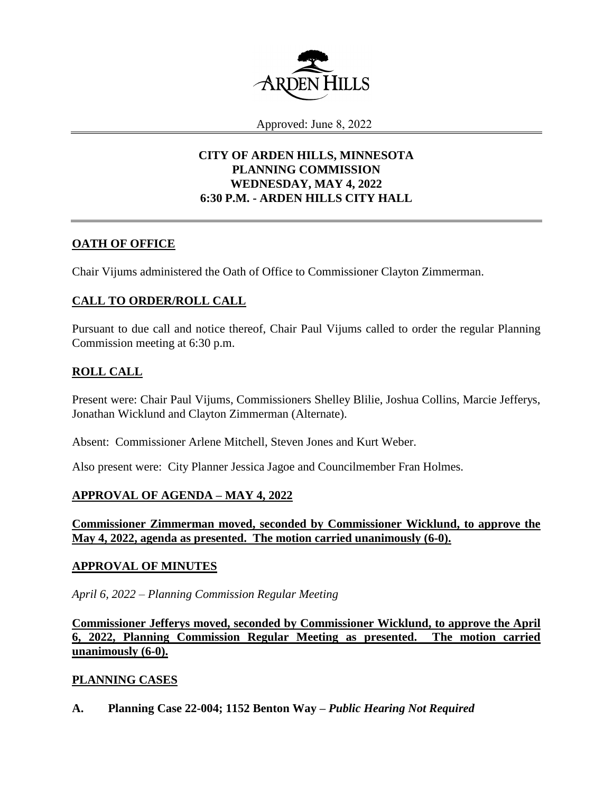

Approved: June 8, 2022

# **CITY OF ARDEN HILLS, MINNESOTA PLANNING COMMISSION WEDNESDAY, MAY 4, 2022 6:30 P.M. - ARDEN HILLS CITY HALL**

### **OATH OF OFFICE**

Chair Vijums administered the Oath of Office to Commissioner Clayton Zimmerman.

# **CALL TO ORDER/ROLL CALL**

Pursuant to due call and notice thereof, Chair Paul Vijums called to order the regular Planning Commission meeting at 6:30 p.m.

# **ROLL CALL**

Present were: Chair Paul Vijums, Commissioners Shelley Blilie, Joshua Collins, Marcie Jefferys, Jonathan Wicklund and Clayton Zimmerman (Alternate).

Absent: Commissioner Arlene Mitchell, Steven Jones and Kurt Weber.

Also present were: City Planner Jessica Jagoe and Councilmember Fran Holmes.

## **APPROVAL OF AGENDA – MAY 4, 2022**

**Commissioner Zimmerman moved, seconded by Commissioner Wicklund, to approve the May 4, 2022, agenda as presented. The motion carried unanimously (6-0).**

### **APPROVAL OF MINUTES**

*April 6, 2022 – Planning Commission Regular Meeting*

**Commissioner Jefferys moved, seconded by Commissioner Wicklund, to approve the April 6, 2022, Planning Commission Regular Meeting as presented. The motion carried unanimously (6-0).**

## **PLANNING CASES**

**A. Planning Case 22-004; 1152 Benton Way –** *Public Hearing Not Required*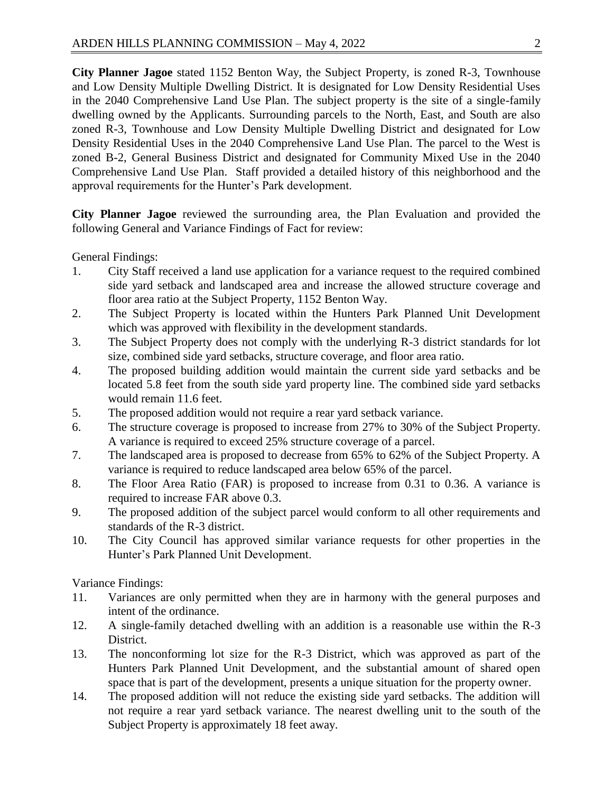**City Planner Jagoe** stated 1152 Benton Way, the Subject Property, is zoned R-3, Townhouse and Low Density Multiple Dwelling District. It is designated for Low Density Residential Uses in the 2040 Comprehensive Land Use Plan. The subject property is the site of a single-family dwelling owned by the Applicants. Surrounding parcels to the North, East, and South are also zoned R-3, Townhouse and Low Density Multiple Dwelling District and designated for Low Density Residential Uses in the 2040 Comprehensive Land Use Plan. The parcel to the West is zoned B-2, General Business District and designated for Community Mixed Use in the 2040 Comprehensive Land Use Plan. Staff provided a detailed history of this neighborhood and the approval requirements for the Hunter's Park development.

**City Planner Jagoe** reviewed the surrounding area, the Plan Evaluation and provided the following General and Variance Findings of Fact for review:

General Findings:

- 1. City Staff received a land use application for a variance request to the required combined side yard setback and landscaped area and increase the allowed structure coverage and floor area ratio at the Subject Property, 1152 Benton Way.
- 2. The Subject Property is located within the Hunters Park Planned Unit Development which was approved with flexibility in the development standards.
- 3. The Subject Property does not comply with the underlying R-3 district standards for lot size, combined side yard setbacks, structure coverage, and floor area ratio.
- 4. The proposed building addition would maintain the current side yard setbacks and be located 5.8 feet from the south side yard property line. The combined side yard setbacks would remain 11.6 feet.
- 5. The proposed addition would not require a rear yard setback variance.
- 6. The structure coverage is proposed to increase from 27% to 30% of the Subject Property. A variance is required to exceed 25% structure coverage of a parcel.
- 7. The landscaped area is proposed to decrease from 65% to 62% of the Subject Property. A variance is required to reduce landscaped area below 65% of the parcel.
- 8. The Floor Area Ratio (FAR) is proposed to increase from 0.31 to 0.36. A variance is required to increase FAR above 0.3.
- 9. The proposed addition of the subject parcel would conform to all other requirements and standards of the R-3 district.
- 10. The City Council has approved similar variance requests for other properties in the Hunter's Park Planned Unit Development.

Variance Findings:

- 11. Variances are only permitted when they are in harmony with the general purposes and intent of the ordinance.
- 12. A single-family detached dwelling with an addition is a reasonable use within the R-3 District.
- 13. The nonconforming lot size for the R-3 District, which was approved as part of the Hunters Park Planned Unit Development, and the substantial amount of shared open space that is part of the development, presents a unique situation for the property owner.
- 14. The proposed addition will not reduce the existing side yard setbacks. The addition will not require a rear yard setback variance. The nearest dwelling unit to the south of the Subject Property is approximately 18 feet away.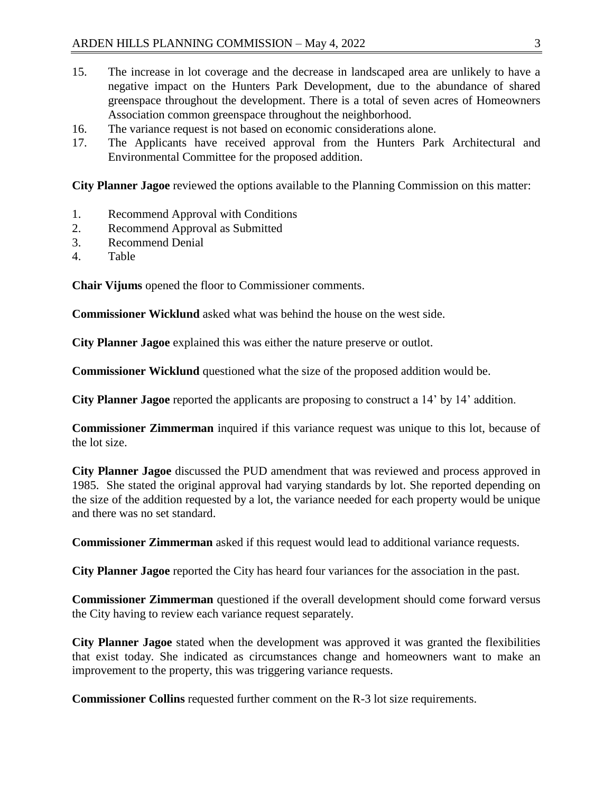- 15. The increase in lot coverage and the decrease in landscaped area are unlikely to have a negative impact on the Hunters Park Development, due to the abundance of shared greenspace throughout the development. There is a total of seven acres of Homeowners Association common greenspace throughout the neighborhood.
- 16. The variance request is not based on economic considerations alone.
- 17. The Applicants have received approval from the Hunters Park Architectural and Environmental Committee for the proposed addition.

**City Planner Jagoe** reviewed the options available to the Planning Commission on this matter:

- 1. Recommend Approval with Conditions
- 2. Recommend Approval as Submitted
- 3. Recommend Denial
- 4. Table

**Chair Vijums** opened the floor to Commissioner comments.

**Commissioner Wicklund** asked what was behind the house on the west side.

**City Planner Jagoe** explained this was either the nature preserve or outlot.

**Commissioner Wicklund** questioned what the size of the proposed addition would be.

**City Planner Jagoe** reported the applicants are proposing to construct a 14' by 14' addition.

**Commissioner Zimmerman** inquired if this variance request was unique to this lot, because of the lot size.

**City Planner Jagoe** discussed the PUD amendment that was reviewed and process approved in 1985. She stated the original approval had varying standards by lot. She reported depending on the size of the addition requested by a lot, the variance needed for each property would be unique and there was no set standard.

**Commissioner Zimmerman** asked if this request would lead to additional variance requests.

**City Planner Jagoe** reported the City has heard four variances for the association in the past.

**Commissioner Zimmerman** questioned if the overall development should come forward versus the City having to review each variance request separately.

**City Planner Jagoe** stated when the development was approved it was granted the flexibilities that exist today. She indicated as circumstances change and homeowners want to make an improvement to the property, this was triggering variance requests.

**Commissioner Collins** requested further comment on the R-3 lot size requirements.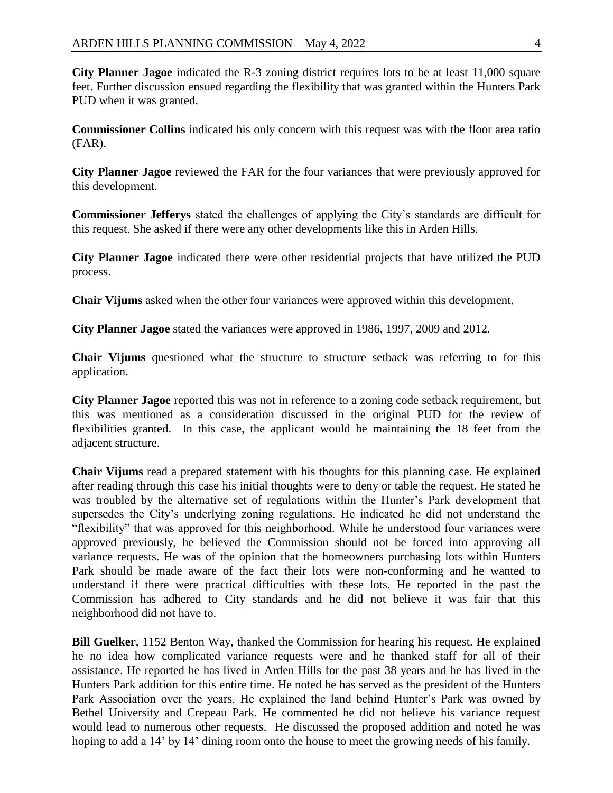**City Planner Jagoe** indicated the R-3 zoning district requires lots to be at least 11,000 square feet. Further discussion ensued regarding the flexibility that was granted within the Hunters Park PUD when it was granted.

**Commissioner Collins** indicated his only concern with this request was with the floor area ratio (FAR).

**City Planner Jagoe** reviewed the FAR for the four variances that were previously approved for this development.

**Commissioner Jefferys** stated the challenges of applying the City's standards are difficult for this request. She asked if there were any other developments like this in Arden Hills.

**City Planner Jagoe** indicated there were other residential projects that have utilized the PUD process.

**Chair Vijums** asked when the other four variances were approved within this development.

**City Planner Jagoe** stated the variances were approved in 1986, 1997, 2009 and 2012.

**Chair Vijums** questioned what the structure to structure setback was referring to for this application.

**City Planner Jagoe** reported this was not in reference to a zoning code setback requirement, but this was mentioned as a consideration discussed in the original PUD for the review of flexibilities granted. In this case, the applicant would be maintaining the 18 feet from the adjacent structure.

**Chair Vijums** read a prepared statement with his thoughts for this planning case. He explained after reading through this case his initial thoughts were to deny or table the request. He stated he was troubled by the alternative set of regulations within the Hunter's Park development that supersedes the City's underlying zoning regulations. He indicated he did not understand the "flexibility" that was approved for this neighborhood. While he understood four variances were approved previously, he believed the Commission should not be forced into approving all variance requests. He was of the opinion that the homeowners purchasing lots within Hunters Park should be made aware of the fact their lots were non-conforming and he wanted to understand if there were practical difficulties with these lots. He reported in the past the Commission has adhered to City standards and he did not believe it was fair that this neighborhood did not have to.

**Bill Guelker**, 1152 Benton Way, thanked the Commission for hearing his request. He explained he no idea how complicated variance requests were and he thanked staff for all of their assistance. He reported he has lived in Arden Hills for the past 38 years and he has lived in the Hunters Park addition for this entire time. He noted he has served as the president of the Hunters Park Association over the years. He explained the land behind Hunter's Park was owned by Bethel University and Crepeau Park. He commented he did not believe his variance request would lead to numerous other requests. He discussed the proposed addition and noted he was hoping to add a 14' by 14' dining room onto the house to meet the growing needs of his family.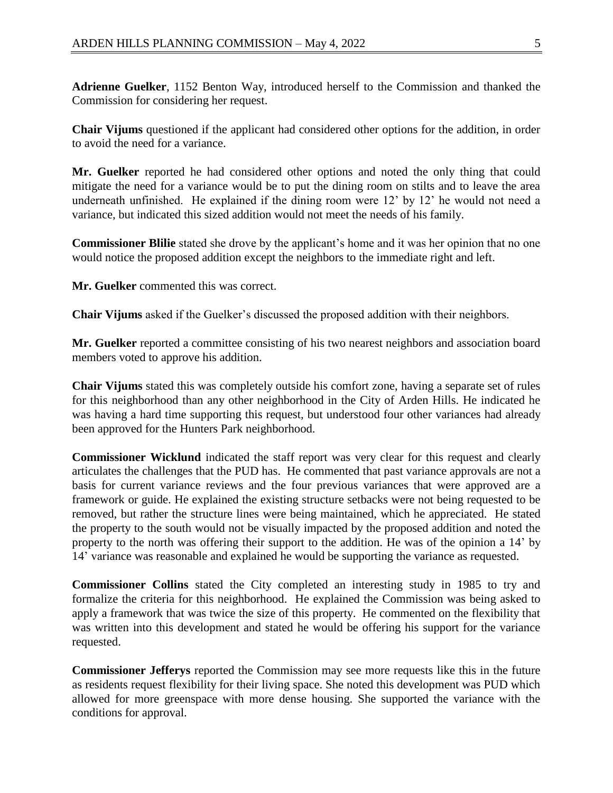**Adrienne Guelker**, 1152 Benton Way, introduced herself to the Commission and thanked the Commission for considering her request.

**Chair Vijums** questioned if the applicant had considered other options for the addition, in order to avoid the need for a variance.

**Mr. Guelker** reported he had considered other options and noted the only thing that could mitigate the need for a variance would be to put the dining room on stilts and to leave the area underneath unfinished. He explained if the dining room were 12' by 12' he would not need a variance, but indicated this sized addition would not meet the needs of his family.

**Commissioner Blilie** stated she drove by the applicant's home and it was her opinion that no one would notice the proposed addition except the neighbors to the immediate right and left.

**Mr. Guelker** commented this was correct.

**Chair Vijums** asked if the Guelker's discussed the proposed addition with their neighbors.

**Mr. Guelker** reported a committee consisting of his two nearest neighbors and association board members voted to approve his addition.

**Chair Vijums** stated this was completely outside his comfort zone, having a separate set of rules for this neighborhood than any other neighborhood in the City of Arden Hills. He indicated he was having a hard time supporting this request, but understood four other variances had already been approved for the Hunters Park neighborhood.

**Commissioner Wicklund** indicated the staff report was very clear for this request and clearly articulates the challenges that the PUD has. He commented that past variance approvals are not a basis for current variance reviews and the four previous variances that were approved are a framework or guide. He explained the existing structure setbacks were not being requested to be removed, but rather the structure lines were being maintained, which he appreciated. He stated the property to the south would not be visually impacted by the proposed addition and noted the property to the north was offering their support to the addition. He was of the opinion a 14' by 14' variance was reasonable and explained he would be supporting the variance as requested.

**Commissioner Collins** stated the City completed an interesting study in 1985 to try and formalize the criteria for this neighborhood. He explained the Commission was being asked to apply a framework that was twice the size of this property. He commented on the flexibility that was written into this development and stated he would be offering his support for the variance requested.

**Commissioner Jefferys** reported the Commission may see more requests like this in the future as residents request flexibility for their living space. She noted this development was PUD which allowed for more greenspace with more dense housing. She supported the variance with the conditions for approval.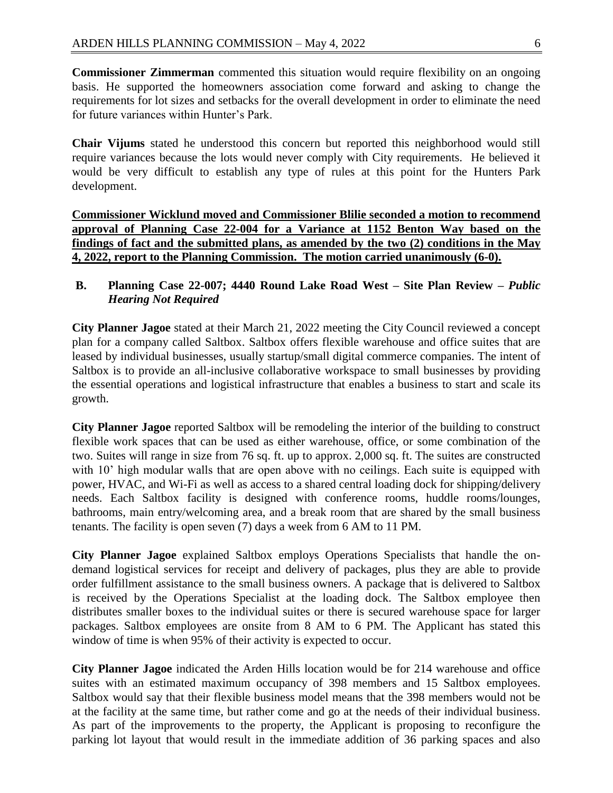**Commissioner Zimmerman** commented this situation would require flexibility on an ongoing basis. He supported the homeowners association come forward and asking to change the requirements for lot sizes and setbacks for the overall development in order to eliminate the need for future variances within Hunter's Park.

**Chair Vijums** stated he understood this concern but reported this neighborhood would still require variances because the lots would never comply with City requirements. He believed it would be very difficult to establish any type of rules at this point for the Hunters Park development.

**Commissioner Wicklund moved and Commissioner Blilie seconded a motion to recommend approval of Planning Case 22-004 for a Variance at 1152 Benton Way based on the findings of fact and the submitted plans, as amended by the two (2) conditions in the May 4, 2022, report to the Planning Commission. The motion carried unanimously (6-0).**

### **B. Planning Case 22-007; 4440 Round Lake Road West – Site Plan Review –** *Public Hearing Not Required*

**City Planner Jagoe** stated at their March 21, 2022 meeting the City Council reviewed a concept plan for a company called Saltbox. Saltbox offers flexible warehouse and office suites that are leased by individual businesses, usually startup/small digital commerce companies. The intent of Saltbox is to provide an all-inclusive collaborative workspace to small businesses by providing the essential operations and logistical infrastructure that enables a business to start and scale its growth.

**City Planner Jagoe** reported Saltbox will be remodeling the interior of the building to construct flexible work spaces that can be used as either warehouse, office, or some combination of the two. Suites will range in size from 76 sq. ft. up to approx. 2,000 sq. ft. The suites are constructed with 10' high modular walls that are open above with no ceilings. Each suite is equipped with power, HVAC, and Wi-Fi as well as access to a shared central loading dock for shipping/delivery needs. Each Saltbox facility is designed with conference rooms, huddle rooms/lounges, bathrooms, main entry/welcoming area, and a break room that are shared by the small business tenants. The facility is open seven (7) days a week from 6 AM to 11 PM.

**City Planner Jagoe** explained Saltbox employs Operations Specialists that handle the ondemand logistical services for receipt and delivery of packages, plus they are able to provide order fulfillment assistance to the small business owners. A package that is delivered to Saltbox is received by the Operations Specialist at the loading dock. The Saltbox employee then distributes smaller boxes to the individual suites or there is secured warehouse space for larger packages. Saltbox employees are onsite from 8 AM to 6 PM. The Applicant has stated this window of time is when 95% of their activity is expected to occur.

**City Planner Jagoe** indicated the Arden Hills location would be for 214 warehouse and office suites with an estimated maximum occupancy of 398 members and 15 Saltbox employees. Saltbox would say that their flexible business model means that the 398 members would not be at the facility at the same time, but rather come and go at the needs of their individual business. As part of the improvements to the property, the Applicant is proposing to reconfigure the parking lot layout that would result in the immediate addition of 36 parking spaces and also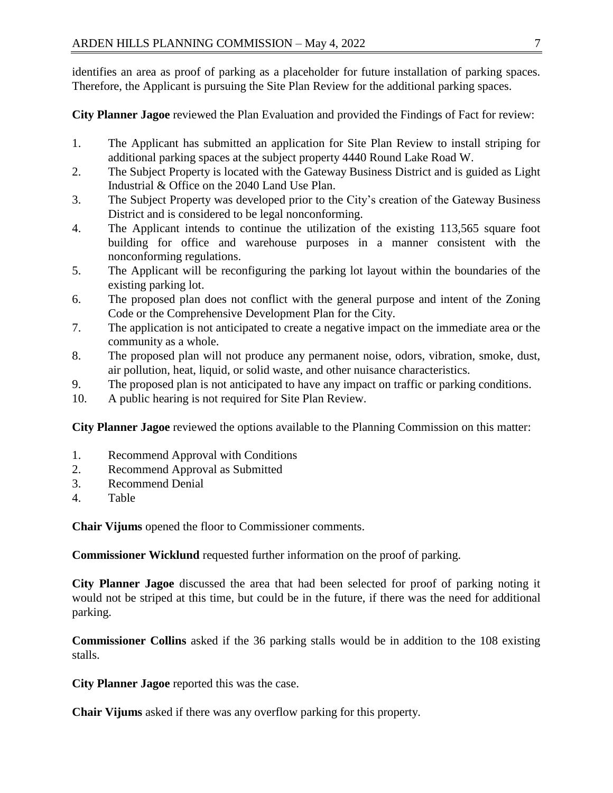identifies an area as proof of parking as a placeholder for future installation of parking spaces. Therefore, the Applicant is pursuing the Site Plan Review for the additional parking spaces.

**City Planner Jagoe** reviewed the Plan Evaluation and provided the Findings of Fact for review:

- 1. The Applicant has submitted an application for Site Plan Review to install striping for additional parking spaces at the subject property 4440 Round Lake Road W.
- 2. The Subject Property is located with the Gateway Business District and is guided as Light Industrial & Office on the 2040 Land Use Plan.
- 3. The Subject Property was developed prior to the City's creation of the Gateway Business District and is considered to be legal nonconforming.
- 4. The Applicant intends to continue the utilization of the existing 113,565 square foot building for office and warehouse purposes in a manner consistent with the nonconforming regulations.
- 5. The Applicant will be reconfiguring the parking lot layout within the boundaries of the existing parking lot.
- 6. The proposed plan does not conflict with the general purpose and intent of the Zoning Code or the Comprehensive Development Plan for the City.
- 7. The application is not anticipated to create a negative impact on the immediate area or the community as a whole.
- 8. The proposed plan will not produce any permanent noise, odors, vibration, smoke, dust, air pollution, heat, liquid, or solid waste, and other nuisance characteristics.
- 9. The proposed plan is not anticipated to have any impact on traffic or parking conditions.
- 10. A public hearing is not required for Site Plan Review.

**City Planner Jagoe** reviewed the options available to the Planning Commission on this matter:

- 1. Recommend Approval with Conditions
- 2. Recommend Approval as Submitted
- 3. Recommend Denial
- 4. Table

**Chair Vijums** opened the floor to Commissioner comments.

**Commissioner Wicklund** requested further information on the proof of parking.

**City Planner Jagoe** discussed the area that had been selected for proof of parking noting it would not be striped at this time, but could be in the future, if there was the need for additional parking.

**Commissioner Collins** asked if the 36 parking stalls would be in addition to the 108 existing stalls.

**City Planner Jagoe** reported this was the case.

**Chair Vijums** asked if there was any overflow parking for this property.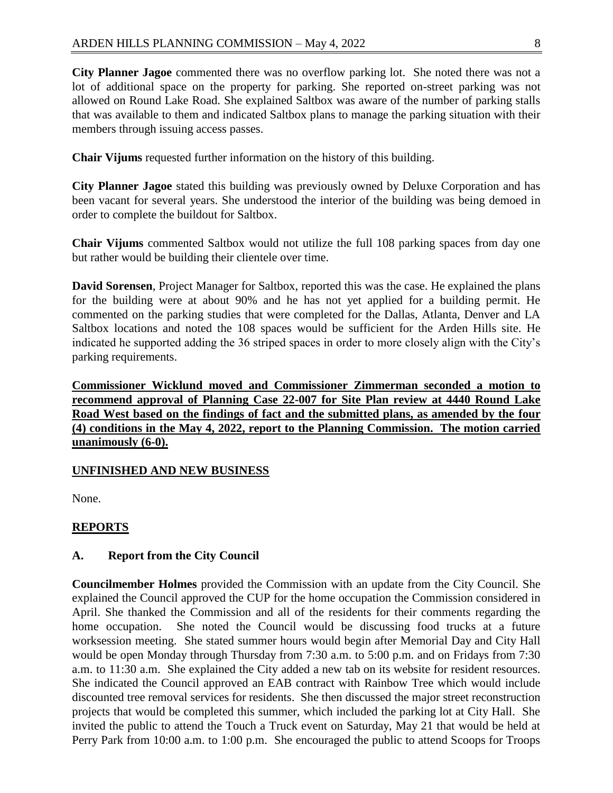**City Planner Jagoe** commented there was no overflow parking lot. She noted there was not a lot of additional space on the property for parking. She reported on-street parking was not allowed on Round Lake Road. She explained Saltbox was aware of the number of parking stalls that was available to them and indicated Saltbox plans to manage the parking situation with their members through issuing access passes.

**Chair Vijums** requested further information on the history of this building.

**City Planner Jagoe** stated this building was previously owned by Deluxe Corporation and has been vacant for several years. She understood the interior of the building was being demoed in order to complete the buildout for Saltbox.

**Chair Vijums** commented Saltbox would not utilize the full 108 parking spaces from day one but rather would be building their clientele over time.

**David Sorensen**, Project Manager for Saltbox, reported this was the case. He explained the plans for the building were at about 90% and he has not yet applied for a building permit. He commented on the parking studies that were completed for the Dallas, Atlanta, Denver and LA Saltbox locations and noted the 108 spaces would be sufficient for the Arden Hills site. He indicated he supported adding the 36 striped spaces in order to more closely align with the City's parking requirements.

**Commissioner Wicklund moved and Commissioner Zimmerman seconded a motion to recommend approval of Planning Case 22-007 for Site Plan review at 4440 Round Lake Road West based on the findings of fact and the submitted plans, as amended by the four (4) conditions in the May 4, 2022, report to the Planning Commission. The motion carried unanimously (6-0).**

## **UNFINISHED AND NEW BUSINESS**

None.

## **REPORTS**

### **A. Report from the City Council**

**Councilmember Holmes** provided the Commission with an update from the City Council. She explained the Council approved the CUP for the home occupation the Commission considered in April. She thanked the Commission and all of the residents for their comments regarding the home occupation. She noted the Council would be discussing food trucks at a future worksession meeting. She stated summer hours would begin after Memorial Day and City Hall would be open Monday through Thursday from 7:30 a.m. to 5:00 p.m. and on Fridays from 7:30 a.m. to 11:30 a.m. She explained the City added a new tab on its website for resident resources. She indicated the Council approved an EAB contract with Rainbow Tree which would include discounted tree removal services for residents. She then discussed the major street reconstruction projects that would be completed this summer, which included the parking lot at City Hall. She invited the public to attend the Touch a Truck event on Saturday, May 21 that would be held at Perry Park from 10:00 a.m. to 1:00 p.m. She encouraged the public to attend Scoops for Troops